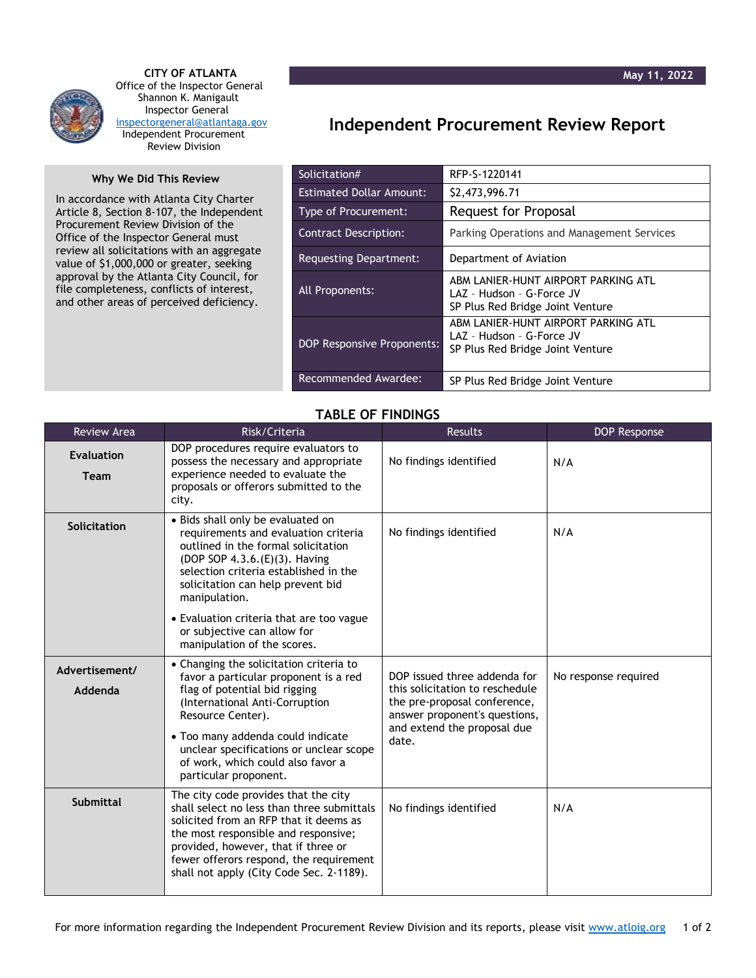

 **CITY OF ATLANTA** Office of the Inspector General Shannon K. Manigault Inspector General [inspectorgeneral@atlantaga.gov](mailto:inspectorgeneral@atlantaga.gov) Independent Procurement Review Division

## **Why We Did This Review**

In accordance with Atlanta City Charter Article 8, Section 8-107, the Independent Procurement Review Division of the Office of the Inspector General must review all solicitations with an aggregate value of \$1,000,000 or greater, seeking approval by the Atlanta City Council, for file completeness, conflicts of interest, and other areas of perceived deficiency.

## **Independent Procurement Review Report**

| Solicitation#                     | RFP-S-1220141                                                                                        |
|-----------------------------------|------------------------------------------------------------------------------------------------------|
| <b>Estimated Dollar Amount:</b>   | \$2,473,996.71                                                                                       |
| Type of Procurement:              | Request for Proposal                                                                                 |
| <b>Contract Description:</b>      | Parking Operations and Management Services                                                           |
| Requesting Department:            | Department of Aviation                                                                               |
| All Proponents:                   | ABM LANIER-HUNT AIRPORT PARKING ATL<br>LAZ - Hudson - G-Force JV<br>SP Plus Red Bridge Joint Venture |
| <b>DOP Responsive Proponents:</b> | ABM LANIER-HUNT AIRPORT PARKING ATL<br>LAZ - Hudson - G-Force JV<br>SP Plus Red Bridge Joint Venture |
| Recommended Awardee:              | SP Plus Red Bridge Joint Venture                                                                     |

## **TABLE OF FINDINGS**

| <b>Review Area</b>               | Risk/Criteria                                                                                                                                                                                                                                                                                                          | <b>Results</b>                                                                                                                                                           | <b>DOP Response</b>  |
|----------------------------------|------------------------------------------------------------------------------------------------------------------------------------------------------------------------------------------------------------------------------------------------------------------------------------------------------------------------|--------------------------------------------------------------------------------------------------------------------------------------------------------------------------|----------------------|
| <b>Evaluation</b><br><b>Team</b> | DOP procedures require evaluators to<br>possess the necessary and appropriate<br>experience needed to evaluate the<br>proposals or offerors submitted to the<br>city.                                                                                                                                                  | No findings identified                                                                                                                                                   | N/A                  |
| Solicitation                     | • Bids shall only be evaluated on<br>requirements and evaluation criteria<br>outlined in the formal solicitation<br>(DOP SOP 4.3.6.(E)(3). Having<br>selection criteria established in the<br>solicitation can help prevent bid<br>manipulation.                                                                       | No findings identified                                                                                                                                                   | N/A                  |
|                                  | • Evaluation criteria that are too vague<br>or subjective can allow for<br>manipulation of the scores.                                                                                                                                                                                                                 |                                                                                                                                                                          |                      |
| Advertisement/<br>Addenda        | • Changing the solicitation criteria to<br>favor a particular proponent is a red<br>flag of potential bid rigging<br>(International Anti-Corruption<br>Resource Center).<br>• Too many addenda could indicate<br>unclear specifications or unclear scope<br>of work, which could also favor a<br>particular proponent. | DOP issued three addenda for<br>this solicitation to reschedule<br>the pre-proposal conference,<br>answer proponent's questions,<br>and extend the proposal due<br>date. | No response required |
| <b>Submittal</b>                 | The city code provides that the city<br>shall select no less than three submittals<br>solicited from an RFP that it deems as<br>the most responsible and responsive;<br>provided, however, that if three or<br>fewer offerors respond, the requirement<br>shall not apply (City Code Sec. 2-1189).                     | No findings identified                                                                                                                                                   | N/A                  |